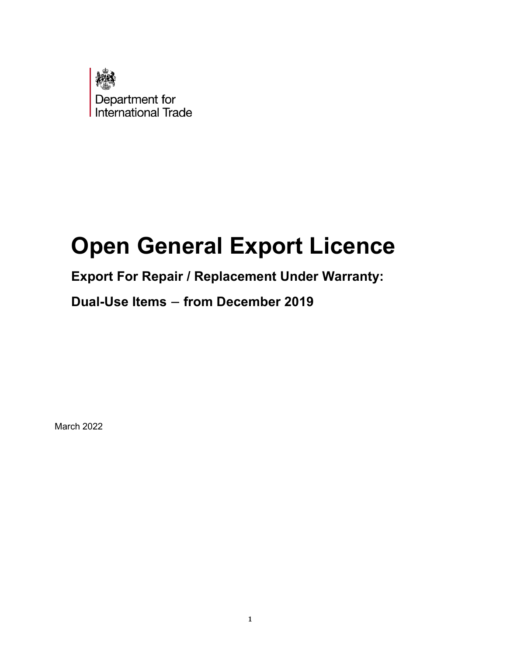

# **Open General Export Licence**

## **Export For Repair / Replacement Under Warranty:**

## **Dual-Use Items – from December 2019**

March 2022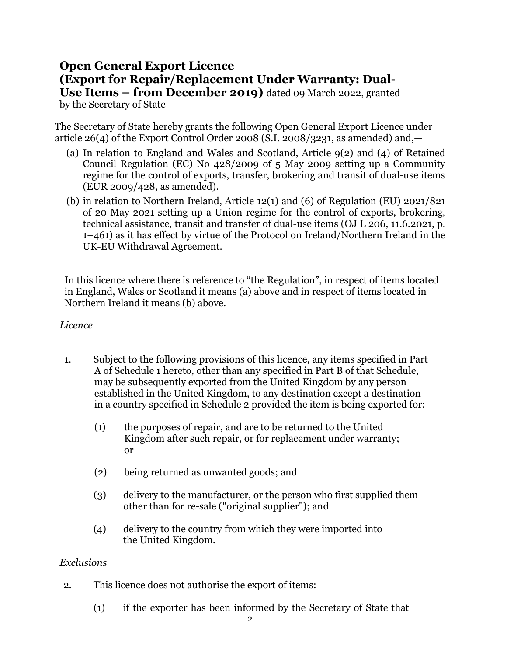### **Open General Export Licence (Export for Repair/Replacement Under Warranty: Dual-Use Items – from December 2019)** dated 09 March 2022, granted

by the Secretary of State

The Secretary of State hereby grants the following Open General Export Licence under article  $26(4)$  of the Export Control Order 2008 (S.I. 2008/3231, as amended) and,

- (a) In relation to England and Wales and Scotland, Article 9(2) and (4) of Retained Council Regulation (EC) No 428/2009 of 5 May 2009 setting up a Community regime for the control of exports, transfer, brokering and transit of dual-use items (EUR 2009/428, as amended).
- (b) in relation to Northern Ireland, Article 12(1) and (6) of Regulation (EU) 2021/821 of 20 May 2021 setting up a Union regime for the control of exports, brokering, technical assistance, transit and transfer of dual-use items (OJ L 206, 11.6.2021, p. 1–461) as it has effect by virtue of the Protocol on Ireland/Northern Ireland in the UK-EU Withdrawal Agreement.

In this licence where there is reference to "the Regulation", in respect of items located in England, Wales or Scotland it means (a) above and in respect of items located in Northern Ireland it means (b) above.

#### *Licence*

- 1. Subject to the following provisions of this licence, any items specified in Part A of Schedule 1 hereto, other than any specified in Part B of that Schedule, may be subsequently exported from the United Kingdom by any person established in the United Kingdom, to any destination except a destination in a country specified in Schedule 2 provided the item is being exported for:
	- (1) the purposes of repair, and are to be returned to the United Kingdom after such repair, or for replacement under warranty; or
	- (2) being returned as unwanted goods; and
	- (3) delivery to the manufacturer, or the person who first supplied them other than for re-sale ("original supplier"); and
	- (4) delivery to the country from which they were imported into the United Kingdom.

#### *Exclusions*

- 2. This licence does not authorise the export of items:
	- (1) if the exporter has been informed by the Secretary of State that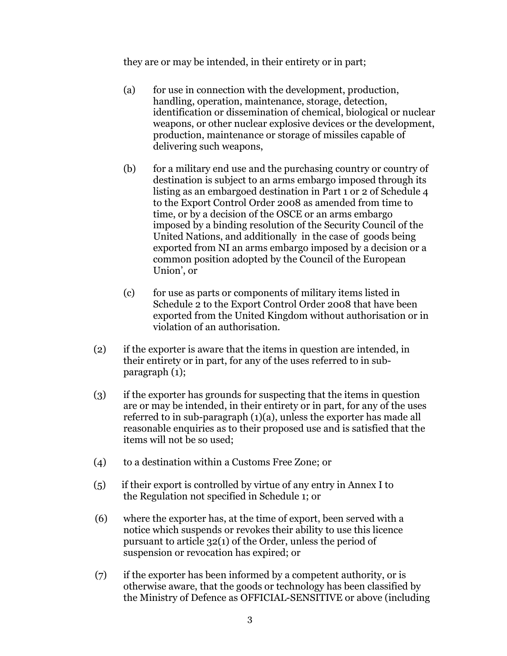they are or may be intended, in their entirety or in part;

- (a) for use in connection with the development, production, handling, operation, maintenance, storage, detection, identification or dissemination of chemical, biological or nuclear weapons, or other nuclear explosive devices or the development, production, maintenance or storage of missiles capable of delivering such weapons,
- (b) for a military end use and the purchasing country or country of destination is subject to an arms embargo imposed through its listing as an embargoed destination in Part 1 or 2 of Schedule 4 to the Export Control Order 2008 as amended from time to time, or by a decision of the OSCE or an arms embargo imposed by a binding resolution of the Security Council of the United Nations, and additionally in the case of goods being exported from NI an arms embargo imposed by a decision or a common position adopted by the Council of the European Union', or
- (c) for use as parts or components of military items listed in Schedule 2 to the Export Control Order 2008 that have been exported from the United Kingdom without authorisation or in violation of an authorisation.
- (2) if the exporter is aware that the items in question are intended, in their entirety or in part, for any of the uses referred to in subparagraph (1);
- (3) if the exporter has grounds for suspecting that the items in question are or may be intended, in their entirety or in part, for any of the uses referred to in sub-paragraph (1)(a), unless the exporter has made all reasonable enquiries as to their proposed use and is satisfied that the items will not be so used;
- (4) to a destination within a Customs Free Zone; or
- (5) if their export is controlled by virtue of any entry in Annex I to the Regulation not specified in Schedule 1; or
- (6) where the exporter has, at the time of export, been served with a notice which suspends or revokes their ability to use this licence pursuant to article 32(1) of the Order, unless the period of suspension or revocation has expired; or
- (7) if the exporter has been informed by a competent authority, or is otherwise aware, that the goods or technology has been classified by the Ministry of Defence as OFFICIAL-SENSITIVE or above (including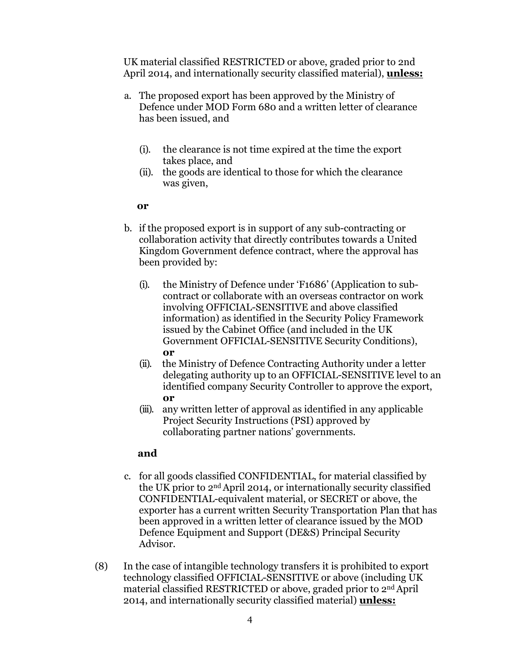UK material classified RESTRICTED or above, graded prior to 2nd April 2014, and internationally security classified material), **unless:**

- a. The proposed export has been approved by the Ministry of Defence under MOD Form 680 and a written letter of clearance has been issued, and
	- (i). the clearance is not time expired at the time the export takes place, and
	- (ii). the goods are identical to those for which the clearance was given,

#### **or**

- b. if the proposed export is in support of any sub-contracting or collaboration activity that directly contributes towards a United Kingdom Government defence contract, where the approval has been provided by:
	- (i). the Ministry of Defence under 'F1686' (Application to subcontract or collaborate with an overseas contractor on work involving OFFICIAL-SENSITIVE and above classified information) as identified in the Security Policy Framework issued by the Cabinet Office (and included in the UK Government OFFICIAL-SENSITIVE Security Conditions), **or**
	- (ii). the Ministry of Defence Contracting Authority under a letter delegating authority up to an OFFICIAL-SENSITIVE level to an identified company Security Controller to approve the export, **or**
	- (iii). any written letter of approval as identified in any applicable Project Security Instructions (PSI) approved by collaborating partner nations' governments.

#### **and**

- c. for all goods classified CONFIDENTIAL, for material classified by the UK prior to 2nd April 2014, or internationally security classified CONFIDENTIAL-equivalent material, or SECRET or above, the exporter has a current written Security Transportation Plan that has been approved in a written letter of clearance issued by the MOD Defence Equipment and Support (DE&S) Principal Security Advisor.
- (8) In the case of intangible technology transfers it is prohibited to export technology classified OFFICIAL-SENSITIVE or above (including UK material classified RESTRICTED or above, graded prior to 2nd April 2014, and internationally security classified material) **unless:**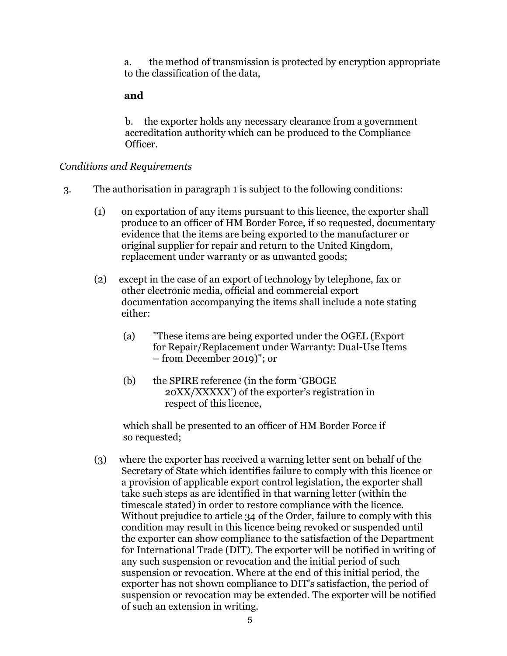a. the method of transmission is protected by encryption appropriate to the classification of the data,

#### **and**

b. the exporter holds any necessary clearance from a government accreditation authority which can be produced to the Compliance Officer.

#### *Conditions and Requirements*

- 3. The authorisation in paragraph 1 is subject to the following conditions:
	- (1) on exportation of any items pursuant to this licence, the exporter shall produce to an officer of HM Border Force, if so requested, documentary evidence that the items are being exported to the manufacturer or original supplier for repair and return to the United Kingdom, replacement under warranty or as unwanted goods;
	- (2) except in the case of an export of technology by telephone, fax or other electronic media, official and commercial export documentation accompanying the items shall include a note stating either:
		- (a) "These items are being exported under the OGEL (Export for Repair/Replacement under Warranty: Dual-Use Items – from December 2019)"; or
		- (b) the SPIRE reference (in the form 'GBOGE 20XX/XXXXX') of the exporter's registration in respect of this licence,

which shall be presented to an officer of HM Border Force if so requested;

(3) where the exporter has received a warning letter sent on behalf of the Secretary of State which identifies failure to comply with this licence or a provision of applicable export control legislation, the exporter shall take such steps as are identified in that warning letter (within the timescale stated) in order to restore compliance with the licence. Without prejudice to article 34 of the Order, failure to comply with this condition may result in this licence being revoked or suspended until the exporter can show compliance to the satisfaction of the Department for International Trade (DIT). The exporter will be notified in writing of any such suspension or revocation and the initial period of such suspension or revocation. Where at the end of this initial period, the exporter has not shown compliance to DIT's satisfaction, the period of suspension or revocation may be extended. The exporter will be notified of such an extension in writing.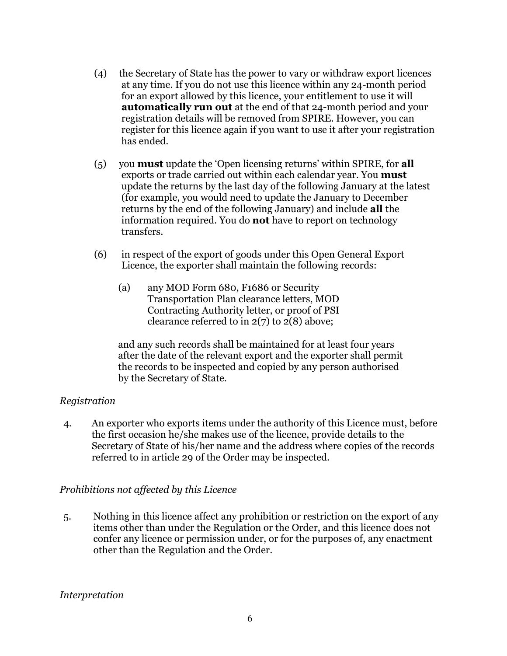- (4) the Secretary of State has the power to vary or withdraw export licences at any time. If you do not use this licence within any 24-month period for an export allowed by this licence, your entitlement to use it will **automatically run out** at the end of that 24-month period and your registration details will be removed from SPIRE. However, you can register for this licence again if you want to use it after your registration has ended.
- (5) you **must** update the 'Open licensing returns' within SPIRE, for **all**  exports or trade carried out within each calendar year. You **must** update the returns by the last day of the following January at the latest (for example, you would need to update the January to December returns by the end of the following January) and include **all** the information required. You do **not** have to report on technology transfers.
- (6) in respect of the export of goods under this Open General Export Licence, the exporter shall maintain the following records:
	- (a) any MOD Form 680, F1686 or Security Transportation Plan clearance letters, MOD Contracting Authority letter, or proof of PSI clearance referred to in  $2(7)$  to  $2(8)$  above;

and any such records shall be maintained for at least four years after the date of the relevant export and the exporter shall permit the records to be inspected and copied by any person authorised by the Secretary of State.

#### *Registration*

4. An exporter who exports items under the authority of this Licence must, before the first occasion he/she makes use of the licence, provide details to the Secretary of State of his/her name and the address where copies of the records referred to in article 29 of the Order may be inspected.

#### *Prohibitions not affected by this Licence*

5. Nothing in this licence affect any prohibition or restriction on the export of any items other than under the Regulation or the Order, and this licence does not confer any licence or permission under, or for the purposes of, any enactment other than the Regulation and the Order.

#### *Interpretation*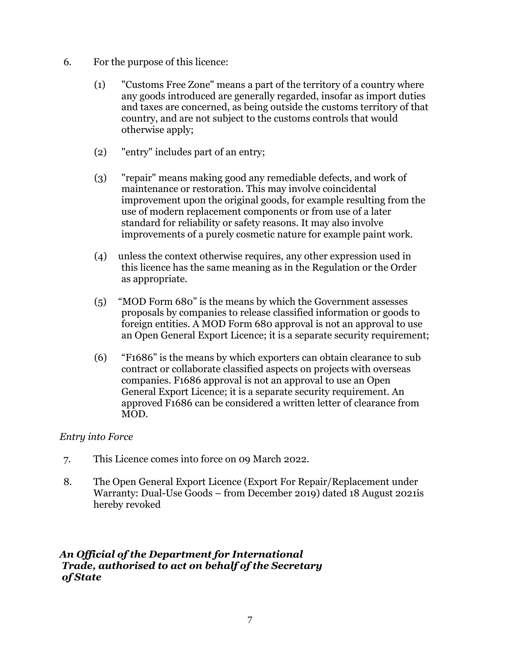- 6. For the purpose of this licence:
	- (1) "Customs Free Zone" means a part of the territory of a country where any goods introduced are generally regarded, insofar as import duties and taxes are concerned, as being outside the customs territory of that country, and are not subject to the customs controls that would otherwise apply;
	- (2) "entry" includes part of an entry;
	- (3) "repair" means making good any remediable defects, and work of maintenance or restoration. This may involve coincidental improvement upon the original goods, for example resulting from the use of modern replacement components or from use of a later standard for reliability or safety reasons. It may also involve improvements of a purely cosmetic nature for example paint work.
	- (4) unless the context otherwise requires, any other expression used in this licence has the same meaning as in the Regulation or the Order as appropriate.
	- (5) "MOD Form 680" is the means by which the Government assesses proposals by companies to release classified information or goods to foreign entities. A MOD Form 680 approval is not an approval to use an Open General Export Licence; it is a separate security requirement;
	- (6) "F1686" is the means by which exporters can obtain clearance to sub contract or collaborate classified aspects on projects with overseas companies. F1686 approval is not an approval to use an Open General Export Licence; it is a separate security requirement. An approved F1686 can be considered a written letter of clearance from MOD.

#### *Entry into Force*

- 7. This Licence comes into force on 09 March 2022.
- 8. The Open General Export Licence (Export For Repair/Replacement under Warranty: Dual-Use Goods – from December 2019) dated 18 August 2021is hereby revoked

#### *An Official of the Department for International Trade, authorised to act on behalf of the Secretary of State*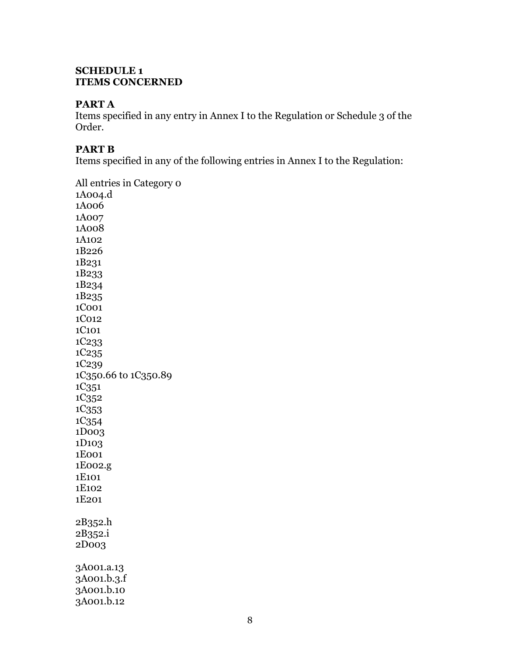#### **SCHEDULE 1 ITEMS CONCERNED**

#### **PART A**

Items specified in any entry in Annex I to the Regulation or Schedule 3 of the Order.

#### **PART B**

Items specified in any of the following entries in Annex I to the Regulation:

All entries in Category 0 1A004.d 1A006 1A007 1A008 1A102 1B226 1B231 1B233 1B234 1B235 1C001 1C012 1C101 1C233 1C235 1C239 1C350.66 to 1C350.89 1C351 1C352 1C353 1C354 1D003 1D103 1E001 1E002.g 1E101 1E102 1E201 2B352.h 2B352.i 2D003 3A001.a.13 3A001.b.3.f 3A001.b.10 3A001.b.12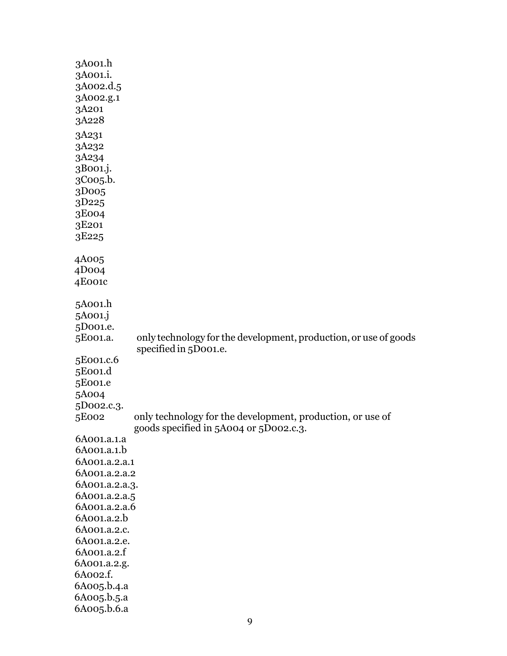| 3A001.h               |                                                                  |
|-----------------------|------------------------------------------------------------------|
| 3A001.i.              |                                                                  |
| 3A002.d.5             |                                                                  |
| 3A002.g.1             |                                                                  |
| 3A201                 |                                                                  |
| 3A228                 |                                                                  |
| 3A231                 |                                                                  |
| 3A232                 |                                                                  |
| 3A234                 |                                                                  |
| 3B001.j.              |                                                                  |
| 3Coo <sub>5</sub> .b. |                                                                  |
| 3D005                 |                                                                  |
| 3D225                 |                                                                  |
| 3E004                 |                                                                  |
| 3E201                 |                                                                  |
| 3E <sub>225</sub>     |                                                                  |
|                       |                                                                  |
| 4A005                 |                                                                  |
| 4D <sub>004</sub>     |                                                                  |
| 4E001c                |                                                                  |
|                       |                                                                  |
| 5A001.h               |                                                                  |
| 5A001.j<br>5D001.e.   |                                                                  |
| 5E001.a.              | only technology for the development, production, or use of goods |
|                       | specified in 5D001.e.                                            |
| 5E001.c.6             |                                                                  |
| 5E001.d               |                                                                  |
| 5E001.e               |                                                                  |
| 5A004                 |                                                                  |
| 5D002.c.3.            |                                                                  |
| 5E002                 | only technology for the development, production, or use of       |
|                       | goods specified in 5A004 or 5D002.c.3.                           |
| 6A001.a.1.a           |                                                                  |
| 6A001.a.1.b           |                                                                  |
| 6A001.a.2.a.1         |                                                                  |
| 6A001.a.2.a.2         |                                                                  |
| 6A001.a.2.a.3.        |                                                                  |
| 6A001.a.2.a.5         |                                                                  |
| 6A001.a.2.a.6         |                                                                  |
| 6A001.a.2.b           |                                                                  |
| 6A001.a.2.c.          |                                                                  |
| 6A001.a.2.e.          |                                                                  |
| 6A001.a.2.f           |                                                                  |
| 6A001.a.2.g.          |                                                                  |
| 6A002.f.              |                                                                  |
| 6A005.b.4.a           |                                                                  |
| 6A005.b.5.a           |                                                                  |
| 6A005.b.6.a           |                                                                  |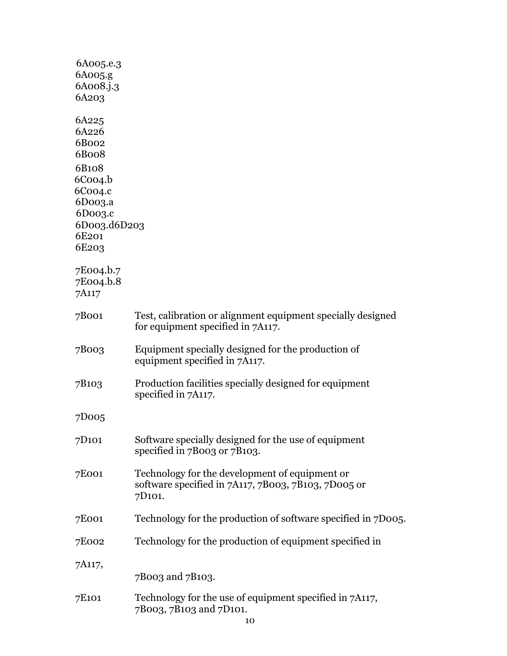| 6A005.e.3          |                                                               |
|--------------------|---------------------------------------------------------------|
| 6A005.g            |                                                               |
| 6A008.j.3          |                                                               |
| 6A203              |                                                               |
| 6A225              |                                                               |
| 6A226              |                                                               |
| 6B002              |                                                               |
| 6B008              |                                                               |
| 6B108              |                                                               |
| $6$ Coo $4.b$      |                                                               |
| 6C004.c            |                                                               |
| 6Doo3.a            |                                                               |
| 6D003.c            |                                                               |
| 6D003.d6D203       |                                                               |
| 6E <sub>201</sub>  |                                                               |
| 6E <sub>20</sub> 3 |                                                               |
|                    |                                                               |
| 7E004.b.7          |                                                               |
| 7E004.b.8          |                                                               |
| 7A117              |                                                               |
| 7B001              | Test, calibration or alignment equipment specially designed   |
|                    | for equipment specified in 7A117.                             |
|                    |                                                               |
| 7B003              | Equipment specially designed for the production of            |
|                    | equipment specified in 7A117.                                 |
|                    |                                                               |
| 7B <sub>10</sub> 3 | Production facilities specially designed for equipment        |
|                    | specified in 7A117.                                           |
|                    |                                                               |
| 7D005              |                                                               |
| 7D <sub>101</sub>  | Software specially designed for the use of equipment          |
|                    | specified in 7B003 or 7B103.                                  |
|                    |                                                               |
| 7E001              | Technology for the development of equipment or                |
|                    | software specified in 7A117, 7B003, 7B103, 7D005 or           |
|                    | 7D <sub>101</sub> .                                           |
|                    |                                                               |
| 7E001              | Technology for the production of software specified in 7D005. |
|                    |                                                               |
| 7E002              | Technology for the production of equipment specified in       |
| 7A117,             |                                                               |
|                    | 7B003 and 7B103.                                              |
|                    |                                                               |
| 7E <sub>101</sub>  | Technology for the use of equipment specified in 7A117,       |
|                    | 7B003, 7B103 and 7D101.                                       |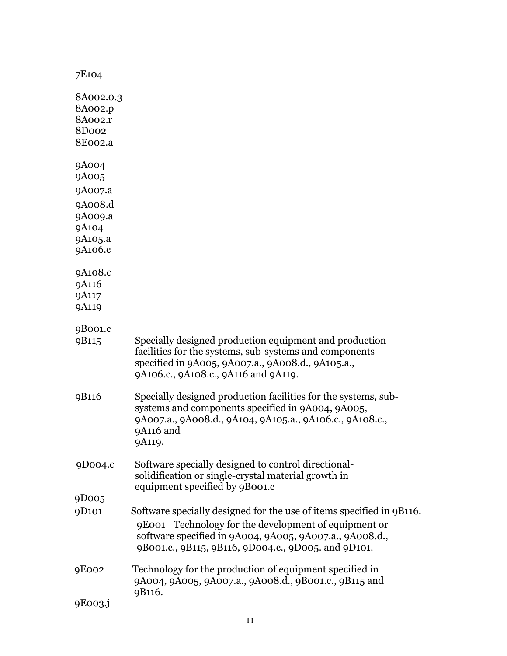| 7E104                                                           |                                                                                                                                                                                                                                                |
|-----------------------------------------------------------------|------------------------------------------------------------------------------------------------------------------------------------------------------------------------------------------------------------------------------------------------|
| 8A002.0.3<br>8A002.p<br>8A002.r<br>8Do <sub>02</sub><br>8E002.a |                                                                                                                                                                                                                                                |
| 9A004<br>9A005                                                  |                                                                                                                                                                                                                                                |
| 9A007.a<br>9A008.d<br>9A009.a<br>9A104<br>9A105.a<br>9A106.c    |                                                                                                                                                                                                                                                |
| 9A108.c<br>9A116<br>9A117<br>9A119                              |                                                                                                                                                                                                                                                |
| 9B001.c<br>9B115                                                | Specially designed production equipment and production<br>facilities for the systems, sub-systems and components<br>specified in 9A005, 9A007.a., 9A008.d., 9A105.a.,<br>9A106.c., 9A108.c., 9A116 and 9A119.                                  |
| 9B116                                                           | Specially designed production facilities for the systems, sub-<br>systems and components specified in 9A004, 9A005,<br>9A007.a., 9A008.d., 9A104, 9A105.a., 9A106.c., 9A108.c.,<br>9A116 and<br>9A119.                                         |
| 9D004.c                                                         | Software specially designed to control directional-<br>solidification or single-crystal material growth in<br>equipment specified by 9B001.c                                                                                                   |
| 9D005                                                           |                                                                                                                                                                                                                                                |
| 9D101                                                           | Software specially designed for the use of items specified in 9B116.<br>9E001 Technology for the development of equipment or<br>software specified in 9A004, 9A005, 9A007.a., 9A008.d.,<br>9B001.c., 9B115, 9B116, 9D004.c., 9D005. and 9D101. |
| 9E002                                                           | Technology for the production of equipment specified in<br>9A004, 9A005, 9A007.a., 9A008.d., 9B001.c., 9B115 and<br>9B116.                                                                                                                     |
| 9E003.j                                                         |                                                                                                                                                                                                                                                |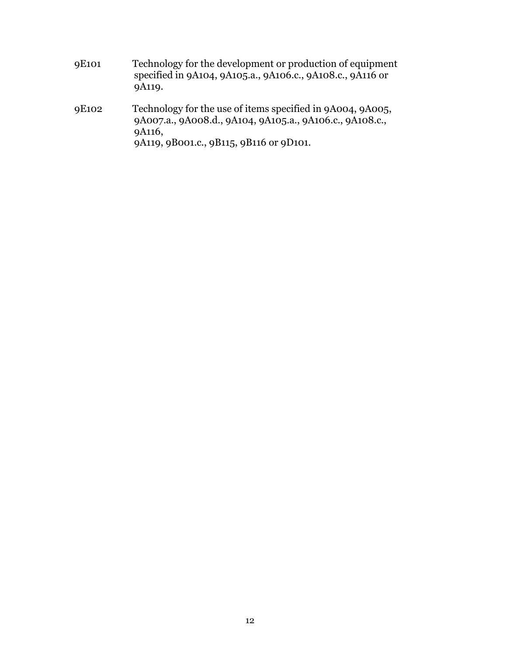- 9E101 Technology for the development or production of equipment specified in 9A104, 9A105.a., 9A106.c., 9A108.c., 9A116 or 9A119.
- 9E102 Technology for the use of items specified in 9A004, 9A005, 9A007.a., 9A008.d., 9A104, 9A105.a., 9A106.c., 9A108.c., 9A116, 9A119, 9B001.c., 9B115, 9B116 or 9D101.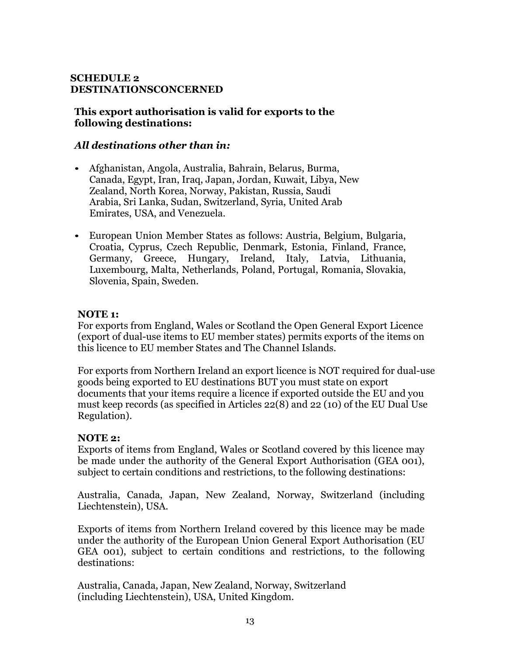#### **SCHEDULE 2 DESTINATIONSCONCERNED**

#### **This export authorisation is valid for exports to the following destinations:**

#### *All destinations other than in:*

- Afghanistan, Angola, Australia, Bahrain, Belarus, Burma, Canada, Egypt, Iran, Iraq, Japan, Jordan, Kuwait, Libya, New Zealand, North Korea, Norway, Pakistan, Russia, Saudi Arabia, Sri Lanka, Sudan, Switzerland, Syria, United Arab Emirates, USA, and Venezuela.
- European Union Member States as follows: Austria, Belgium, Bulgaria, Croatia, Cyprus, Czech Republic, Denmark, Estonia, Finland, France, Germany, Greece, Hungary, Ireland, Italy, Latvia, Lithuania, Luxembourg, Malta, Netherlands, Poland, Portugal, Romania, Slovakia, Slovenia, Spain, Sweden.

#### **NOTE 1:**

For exports from England, Wales or Scotland the Open General Export Licence (export of dual-use items to EU member states) permits exports of the items on this licence to EU member States and The Channel Islands.

For exports from Northern Ireland an export licence is NOT required for dual-use goods being exported to EU destinations BUT you must state on export documents that your items require a licence if exported outside the EU and you must keep records (as specified in Articles 22(8) and 22 (10) of the EU Dual Use Regulation).

#### **NOTE 2:**

Exports of items from England, Wales or Scotland covered by this licence may be made under the authority of the General Export Authorisation (GEA 001), subject to certain conditions and restrictions, to the following destinations:

Australia, Canada, Japan, New Zealand, Norway, Switzerland (including Liechtenstein), USA.

Exports of items from Northern Ireland covered by this licence may be made under the authority of the European Union General Export Authorisation (EU GEA 001), subject to certain conditions and restrictions, to the following destinations:

Australia, Canada, Japan, New Zealand, Norway, Switzerland (including Liechtenstein), USA, United Kingdom.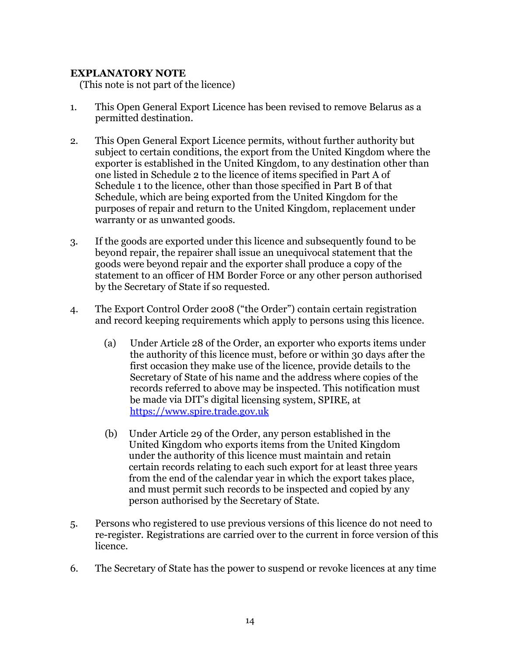#### **EXPLANATORY NOTE**

(This note is not part of the licence)

- 1. This Open General Export Licence has been revised to remove Belarus as a permitted destination.
- 2. This Open General Export Licence permits, without further authority but subject to certain conditions, the export from the United Kingdom where the exporter is established in the United Kingdom, to any destination other than one listed in Schedule 2 to the licence of items specified in Part A of Schedule 1 to the licence, other than those specified in Part B of that Schedule, which are being exported from the United Kingdom for the purposes of repair and return to the United Kingdom, replacement under warranty or as unwanted goods.
- 3. If the goods are exported under this licence and subsequently found to be beyond repair, the repairer shall issue an unequivocal statement that the goods were beyond repair and the exporter shall produce a copy of the statement to an officer of HM Border Force or any other person authorised by the Secretary of State if so requested.
- 4. The Export Control Order 2008 ("the Order") contain certain registration and record keeping requirements which apply to persons using this licence.
	- (a) Under Article 28 of the Order, an exporter who exports items under the authority of this licence must, before or within 30 days after the first occasion they make use of the licence, provide details to the Secretary of State of his name and the address where copies of the records referred to above may be inspected. This notification must be made via DIT's digital licensing system, SPIRE, at [https://www.spire.trade.gov.uk](https://www.spire.trade.gov.uk/)
	- (b) Under Article 29 of the Order, any person established in the United Kingdom who exports items from the United Kingdom under the authority of this licence must maintain and retain certain records relating to each such export for at least three years from the end of the calendar year in which the export takes place, and must permit such records to be inspected and copied by any person authorised by the Secretary of State.
- 5. Persons who registered to use previous versions of this licence do not need to re-register. Registrations are carried over to the current in force version of this licence.
- 6. The Secretary of State has the power to suspend or revoke licences at any time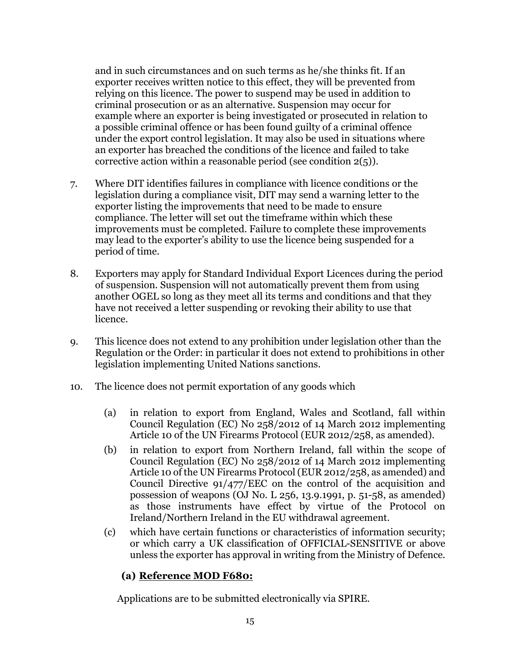and in such circumstances and on such terms as he/she thinks fit. If an exporter receives written notice to this effect, they will be prevented from relying on this licence. The power to suspend may be used in addition to criminal prosecution or as an alternative. Suspension may occur for example where an exporter is being investigated or prosecuted in relation to a possible criminal offence or has been found guilty of a criminal offence under the export control legislation. It may also be used in situations where an exporter has breached the conditions of the licence and failed to take corrective action within a reasonable period (see condition 2(5)).

- 7. Where DIT identifies failures in compliance with licence conditions or the legislation during a compliance visit, DIT may send a warning letter to the exporter listing the improvements that need to be made to ensure compliance. The letter will set out the timeframe within which these improvements must be completed. Failure to complete these improvements may lead to the exporter's ability to use the licence being suspended for a period of time.
- 8. Exporters may apply for Standard Individual Export Licences during the period of suspension. Suspension will not automatically prevent them from using another OGEL so long as they meet all its terms and conditions and that they have not received a letter suspending or revoking their ability to use that licence.
- 9. This licence does not extend to any prohibition under legislation other than the Regulation or the Order: in particular it does not extend to prohibitions in other legislation implementing United Nations sanctions.
- 10. The licence does not permit exportation of any goods which
	- (a) in relation to export from England, Wales and Scotland, fall within Council Regulation (EC) No 258/2012 of 14 March 2012 implementing Article 10 of the UN Firearms Protocol (EUR 2012/258, as amended).
	- (b) in relation to export from Northern Ireland, fall within the scope of Council Regulation (EC) No 258/2012 of 14 March 2012 implementing Article 10 of the UN Firearms Protocol (EUR 2012/258, as amended) and Council Directive 91/477/EEC on the control of the acquisition and possession of weapons (OJ No. L 256, 13.9.1991, p. 51-58, as amended) as those instruments have effect by virtue of the Protocol on Ireland/Northern Ireland in the EU withdrawal agreement.
	- (c) which have certain functions or characteristics of information security; or which carry a UK classification of OFFICIAL-SENSITIVE or above unless the exporter has approval in writing from the Ministry of Defence.

#### **(a) Reference MOD F680:**

Applications are to be submitted electronically via SPIRE.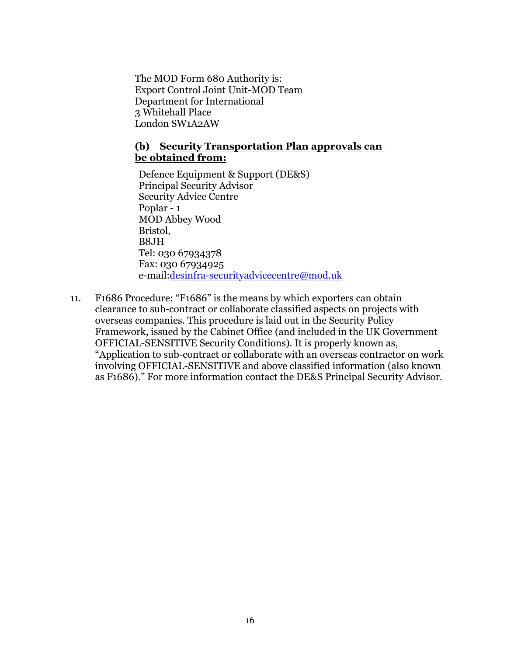The MOD Form 680 Authority is: Export Control Joint Unit-MOD Team Department for International 3 Whitehall Place London SW1A2AW

#### **(b) Security Transportation Plan approvals can be obtained from:**

Defence Equipment & Support (DE&S) Principal Security Advisor Security Advice Centre Poplar - 1 MOD Abbey Wood Bristol, B8JH Tel: 030 67934378 Fax: 030 67934925 e-mail[:desinfra-securityadvicecentre@mod.uk](mailto:desinfra-securityadvicecentre@mod.uk)

11. F1686 Procedure: "F1686" is the means by which exporters can obtain clearance to sub-contract or collaborate classified aspects on projects with overseas companies. This procedure is laid out in the Security Policy Framework, issued by the Cabinet Office (and included in the UK Government OFFICIAL-SENSITIVE Security Conditions). It is properly known as, "Application to sub-contract or collaborate with an overseas contractor on work involving OFFICIAL-SENSITIVE and above classified information (also known as F1686)." For more information contact the DE&S Principal Security Advisor.